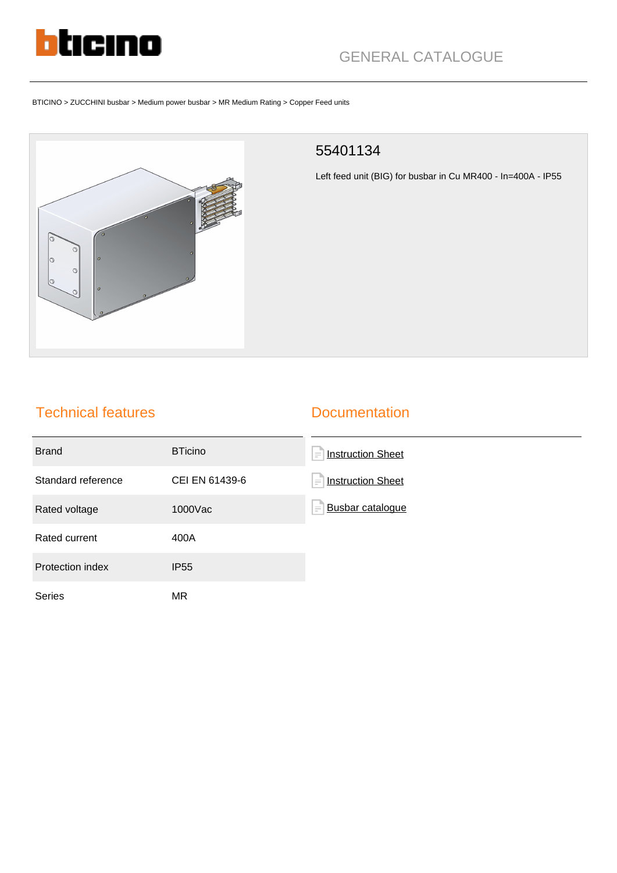

# GENERAL CATALOGUE

#### BTICINO > ZUCCHINI busbar > Medium power busbar > MR Medium Rating > Copper Feed units



#### 55401134

Left feed unit (BIG) for busbar in Cu MR400 - In=400A - IP55

### Technical features

#### **Documentation**

| <b>Brand</b>       | <b>BTicino</b> | <b>Instruction Sheet</b><br>$\equiv$ |
|--------------------|----------------|--------------------------------------|
| Standard reference | CEI EN 61439-6 | <b>Instruction Sheet</b><br>$\equiv$ |
| Rated voltage      | 1000Vac        | <b>Busbar cataloque</b><br>$\equiv$  |
| Rated current      | 400A           |                                      |
| Protection index   | <b>IP55</b>    |                                      |
| <b>Series</b>      | <b>MR</b>      |                                      |